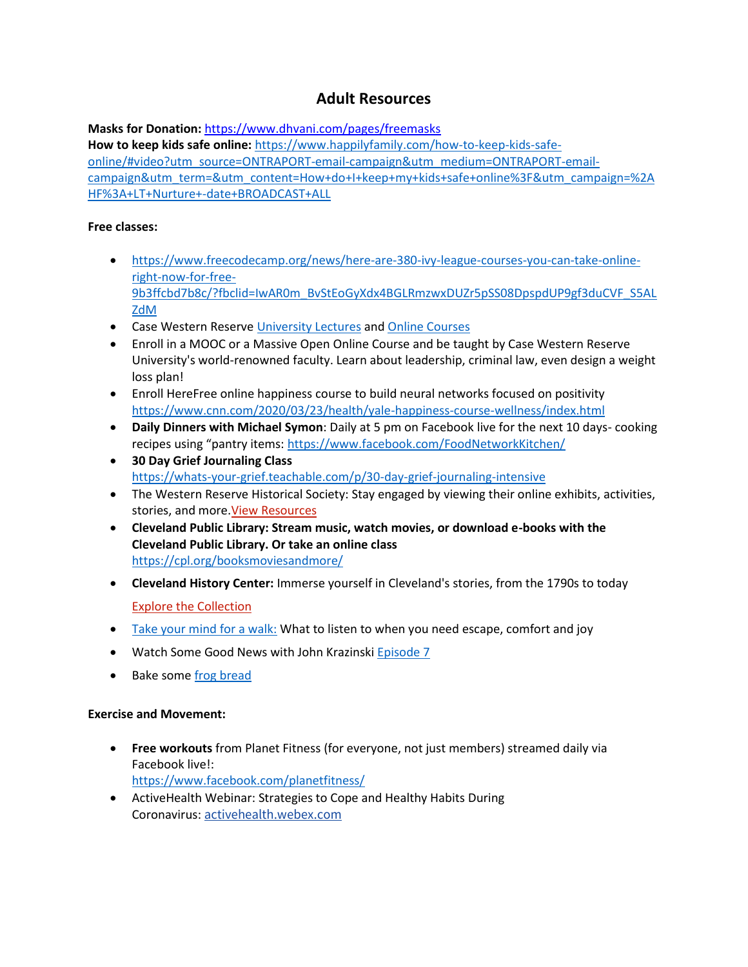# **Adult Resources**

**Masks for Donation:** <https://www.dhvani.com/pages/freemasks> **How to keep kids safe online:** [https://www.happilyfamily.com/how-to-keep-kids-safe](https://www.happilyfamily.com/how-to-keep-kids-safe-online/#video?utm_source=ONTRAPORT-email-campaign&utm_medium=ONTRAPORT-email-campaign&utm_term=&utm_content=How+do+I+keep+my+kids+safe+online%3F&utm_campaign=%2AHF%3A+LT+Nurture+-date+BROADCAST+ALL)[online/#video?utm\\_source=ONTRAPORT-email-campaign&utm\\_medium=ONTRAPORT-email](https://www.happilyfamily.com/how-to-keep-kids-safe-online/#video?utm_source=ONTRAPORT-email-campaign&utm_medium=ONTRAPORT-email-campaign&utm_term=&utm_content=How+do+I+keep+my+kids+safe+online%3F&utm_campaign=%2AHF%3A+LT+Nurture+-date+BROADCAST+ALL)[campaign&utm\\_term=&utm\\_content=How+do+I+keep+my+kids+safe+online%3F&utm\\_campaign=%2A](https://www.happilyfamily.com/how-to-keep-kids-safe-online/#video?utm_source=ONTRAPORT-email-campaign&utm_medium=ONTRAPORT-email-campaign&utm_term=&utm_content=How+do+I+keep+my+kids+safe+online%3F&utm_campaign=%2AHF%3A+LT+Nurture+-date+BROADCAST+ALL) [HF%3A+LT+Nurture+-date+BROADCAST+ALL](https://www.happilyfamily.com/how-to-keep-kids-safe-online/#video?utm_source=ONTRAPORT-email-campaign&utm_medium=ONTRAPORT-email-campaign&utm_term=&utm_content=How+do+I+keep+my+kids+safe+online%3F&utm_campaign=%2AHF%3A+LT+Nurture+-date+BROADCAST+ALL)

#### **Free classes:**

- [https://www.freecodecamp.org/news/here-are-380-ivy-league-courses-you-can-take-online](https://www.freecodecamp.org/news/here-are-380-ivy-league-courses-you-can-take-online-right-now-for-free-9b3ffcbd7b8c/?fbclid=IwAR0m_BvStEoGyXdx4BGLRmzwxDUZr5pSS08DpspdUP9gf3duCVF_S5ALZdM)[right-now-for-free-](https://www.freecodecamp.org/news/here-are-380-ivy-league-courses-you-can-take-online-right-now-for-free-9b3ffcbd7b8c/?fbclid=IwAR0m_BvStEoGyXdx4BGLRmzwxDUZr5pSS08DpspdUP9gf3duCVF_S5ALZdM)[9b3ffcbd7b8c/?fbclid=IwAR0m\\_BvStEoGyXdx4BGLRmzwxDUZr5pSS08DpspdUP9gf3duCVF\\_S5AL](https://www.freecodecamp.org/news/here-are-380-ivy-league-courses-you-can-take-online-right-now-for-free-9b3ffcbd7b8c/?fbclid=IwAR0m_BvStEoGyXdx4BGLRmzwxDUZr5pSS08DpspdUP9gf3duCVF_S5ALZdM) [ZdM](https://www.freecodecamp.org/news/here-are-380-ivy-league-courses-you-can-take-online-right-now-for-free-9b3ffcbd7b8c/?fbclid=IwAR0m_BvStEoGyXdx4BGLRmzwxDUZr5pSS08DpspdUP9gf3duCVF_S5ALZdM)
- Case Western Reserve [University Lectures](https://www.youtube.com/user/case/videos) an[d Online Courses](https://case.edu/online-learning/courses-and-programs/massive-open-online-courses)
- Enroll in a MOOC or a Massive Open Online Course and be taught by Case Western Reserve University's world-renowned faculty. Learn about leadership, criminal law, even design a weight loss plan!
- Enroll HereFree online happiness course to build neural networks focused on positivity <https://www.cnn.com/2020/03/23/health/yale-happiness-course-wellness/index.html>
- **Daily Dinners with Michael Symon**: Daily at 5 pm on Facebook live for the next 10 days- cooking recipes using "pantry items: <https://www.facebook.com/FoodNetworkKitchen/>
- **30 Day Grief Journaling Class** <https://whats-your-grief.teachable.com/p/30-day-grief-journaling-intensive>
- The Western Reserve Historical Society: Stay engaged by viewing their online exhibits, activities, stories, and more[.View Resources](http://r20.rs6.net/tn.jsp?f=001XSmXSvZwOj2l3Ugt1FkyTqSs27aYFhrfoMOE8ycwA134DzDvnl0uMGkSVw4h4tTvFJ2R3PV4WWpZl8XRWivnPNoL6fgH6t2f7WjOl35kWcvjI4WrDccMnlP0_158Z1s8-HvPMfkZHT0g1RyBAuqxJYXmp1jGSsP1xRfsLPEDsgPPNnZOvvs05GmC9C4sThy2Qk6NbZZwkPQczCFk4e1Li70M9Lo9LpmCGU6ra49h192YmeJ53wnnNMytP_hDzYdhhV_885kVnU5w39qxfJ5qP0Hb7olWBWZD&c=9FjaB0ozJgo0cGspxfjuDC5h2CzKpHjZrA1c4pcQahNgC-Y8K7BzlQ==&ch=vwrx3V8PReZl_9vGr35m7ZUZfcV3DPg_bo0d7KRvv66f4DcDwKd2hA==)
- **Cleveland Public Library: Stream music, watch movies, or download e-books with the Cleveland Public Library. Or take an online class** <https://cpl.org/booksmoviesandmore/>
- **Cleveland History Center:** Immerse yourself in Cleveland's stories, from the 1790s to today [Explore the Collection](http://r20.rs6.net/tn.jsp?f=001XSmXSvZwOj2l3Ugt1FkyTqSs27aYFhrfoMOE8ycwA134DzDvnl0uMGkSVw4h4tTvqnmQOPp3oTHzJdcfgioyRVhnOzyWmamX1J4yLxTiOtEptTMUDGxVhWx0GBp3G9HDazsbAdqPWsdIvCnFrt_kvNev_wIw8E-eT9p5WIKM2IKa5fTGY08miw==&c=9FjaB0ozJgo0cGspxfjuDC5h2CzKpHjZrA1c4pcQahNgC-Y8K7BzlQ==&ch=vwrx3V8PReZl_9vGr35m7ZUZfcV3DPg_bo0d7KRvv66f4DcDwKd2hA==)
- [Take your mind for a walk:](https://www.nytimes.com/2020/04/17/podcasts/daily-newsletter-quarantine-virus.html) What to listen to when you need escape, comfort and joy
- Watch Some Good News with John Krazinski [Episode 7](https://www.youtube.com/watch?v=NDjNX3nEfYo)
- Bake some [frog bread](http://www.thefreshloaf.com/recipes/frogbread)

#### **Exercise and Movement:**

- **Free workouts** from Planet Fitness (for everyone, not just members) streamed daily via Facebook live!: <https://www.facebook.com/planetfitness/>
- ActiveHealth Webinar: Strategies to Cope and Healthy Habits During Coronavirus: [activehealth.webex.com](https://coronavirus.ohio.gov/wps/portal/gov/covid-19/families-and-individuals/coping-with-covid-19-anxiety/Resources-for-Adults-Coping-with-the-COVID-19-Pandemic/!ut/p/z1/jZDLDoIwEEW_xQ9o2hJDcFlrIoKgmKjYjWmg4iTSEqjPrxddSeJrdjO5J5lzscApFlqeoJAWjJaHdt8IdxsPxozSkMReHHKS-N6c8aHHg9DF626AOLFHEkqDhLnTPk8oFv_w5MMw8osPfgVaA6eOeFRgUUm7R6B3BqeZqUAX6AztJTMnyBEdIKkvoOwVpwvVmGOdqQbtTI1YfjzYBvEXxO4V4rPVZPTA5lLnqoSsdRHdb9608Qx80a3KZXqb-gRYr3cHltZ3wQ!!/activehealth.webex.com)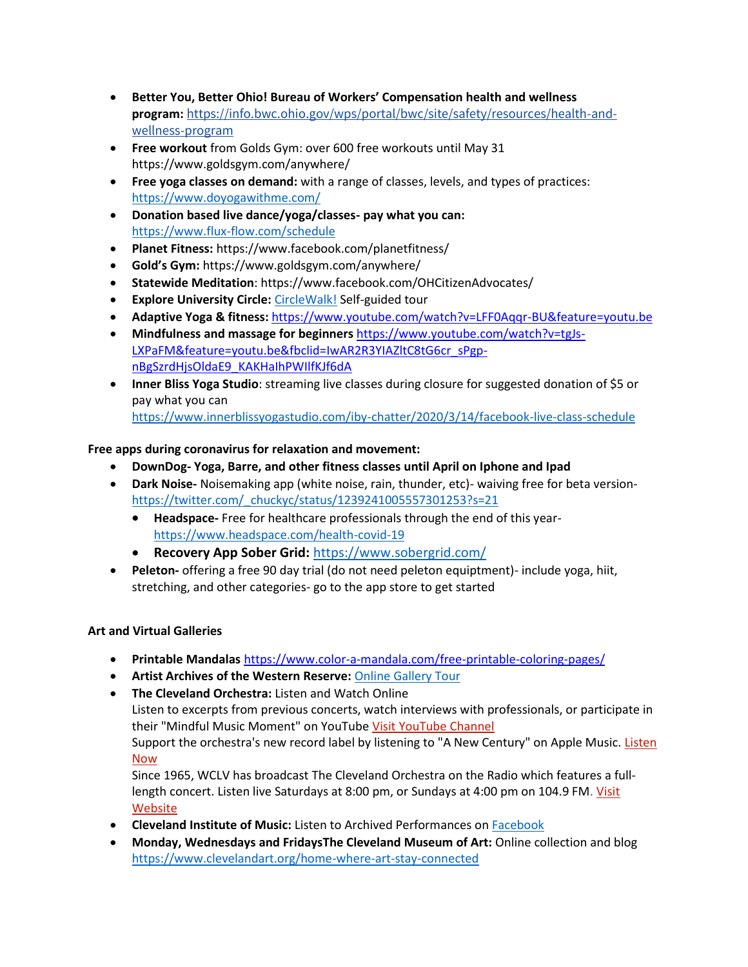- **Better You, Better Ohio! Bureau of Workers' Compensation health and wellness program:** [https://info.bwc.ohio.gov/wps/portal/bwc/site/safety/resources/health-and](https://info.bwc.ohio.gov/wps/portal/bwc/site/safety/resources/health-and-wellness-program)[wellness-program](https://info.bwc.ohio.gov/wps/portal/bwc/site/safety/resources/health-and-wellness-program)
- **Free workout** from Golds Gym: over 600 free workouts until May 31 https://www.goldsgym.com/anywhere/
- **Free yoga classes on demand:** with a range of classes, levels, and types of practices: <https://www.doyogawithme.com/>
- **Donation based live dance/yoga/classes- pay what you can:** <https://www.flux-flow.com/schedule>
- **Planet Fitness:** <https://www.facebook.com/planetfitness/>
- **Gold's Gym:** <https://www.goldsgym.com/anywhere/>
- **Statewide Meditation**: https://www.facebook.com/OHCitizenAdvocates/
- **Explore University Circle: [CircleWalk!](https://www.universitycircle.org/visit/circlewalk-self-guided-tour)** Self-guided tour
- **Adaptive Yoga & fitness:** <https://www.youtube.com/watch?v=LFF0Aqqr-BU&feature=youtu.be>
- **Mindfulness and massage for beginners** [https://www.youtube.com/watch?v=tgJs-](https://www.youtube.com/watch?v=tgJs-LXPaFM&feature=youtu.be&fbclid=IwAR2R3YIAZltC8tG6cr_sPgp-nBgSzrdHjsOldaE9_KAKHaIhPWIlfKJf6dA)[LXPaFM&feature=youtu.be&fbclid=IwAR2R3YIAZltC8tG6cr\\_sPgp](https://www.youtube.com/watch?v=tgJs-LXPaFM&feature=youtu.be&fbclid=IwAR2R3YIAZltC8tG6cr_sPgp-nBgSzrdHjsOldaE9_KAKHaIhPWIlfKJf6dA)[nBgSzrdHjsOldaE9\\_KAKHaIhPWIlfKJf6dA](https://www.youtube.com/watch?v=tgJs-LXPaFM&feature=youtu.be&fbclid=IwAR2R3YIAZltC8tG6cr_sPgp-nBgSzrdHjsOldaE9_KAKHaIhPWIlfKJf6dA)
- **Inner Bliss Yoga Studio**: streaming live classes during closure for suggested donation of \$5 or pay what you can <https://www.innerblissyogastudio.com/iby-chatter/2020/3/14/facebook-live-class-schedule>

## **Free apps during coronavirus for relaxation and movement:**

- **DownDog- Yoga, Barre, and other fitness classes until April on Iphone and Ipad**
- **Dark Noise-** Noisemaking app (white noise, rain, thunder, etc)- waiving free for beta version[https://twitter.com/\\_chuckyc/status/1239241005557301253?s=21](https://twitter.com/_chuckyc/status/1239241005557301253?s=21)
	- **Headspace-** Free for healthcare professionals through the end of this year<https://www.headspace.com/health-covid-19>
	- **Recovery App Sober Grid:** <https://www.sobergrid.com/>
- **Peleton-** offering a free 90 day trial (do not need peleton equiptment)- include yoga, hiit, stretching, and other categories- go to the app store to get started

## **Art and Virtual Galleries**

- **Printable Mandalas** <https://www.color-a-mandala.com/free-printable-coloring-pages/>
- **Artist Archives of the Western Reserve:** [Online Gallery Tour](https://www.facebook.com/ArtistsArchivesoftheWesternReserve)
- **The Cleveland Orchestra:** Listen and Watch Online

Listen to excerpts from previous concerts, watch interviews with professionals, or participate in their "Mindful Music Moment" on YouTub[e Visit YouTube Channel](http://r20.rs6.net/tn.jsp?f=001XSmXSvZwOj2l3Ugt1FkyTqSs27aYFhrfoMOE8ycwA134DzDvnl0uMGkSVw4h4tTv17FLXGCK4VvwjaF25vcck3cx8Rfn9BBpL-MqS9_i3T_PWL8oWOzO8S6Ybg_8LX2UHtQopdFQfOYFZvocnO6Z7uHghApE3jCvzCX4HkSbnpgDNF-y8pnMNDcv0sl9uo00RvRh5_2FhoA=&c=9FjaB0ozJgo0cGspxfjuDC5h2CzKpHjZrA1c4pcQahNgC-Y8K7BzlQ==&ch=vwrx3V8PReZl_9vGr35m7ZUZfcV3DPg_bo0d7KRvv66f4DcDwKd2hA==)

Support the orchestra's new record label by listening to "A New Century" on Apple Music. [Listen](http://r20.rs6.net/tn.jsp?f=001XSmXSvZwOj2l3Ugt1FkyTqSs27aYFhrfoMOE8ycwA134DzDvnl0uMGkSVw4h4tTvpqAUTfvm6yAM8jBmeazf6r4F6AoZ4WJlZbn2EotwZFLwkAKEva4ytfyoQYdWuUbqOrRna8Y7fF5G-fGciKa0Zx7BsvU9HwsVNmOhWLH7fTKL8zdYXCAmI9sU2CLzbuUiG47AK9H9CbwbF9J52MDla4cWaQv7kVT8IikhGVoz22Y26F770GTnXarLw9dJ0rEmAEobF9Pd59CA_lX390LzJ9C45uvY9tCY1FKgd5wxC2FpkL7A3-FQFHiP25wMr8RazCwogmnKAf8=&c=9FjaB0ozJgo0cGspxfjuDC5h2CzKpHjZrA1c4pcQahNgC-Y8K7BzlQ==&ch=vwrx3V8PReZl_9vGr35m7ZUZfcV3DPg_bo0d7KRvv66f4DcDwKd2hA==)  [Now](http://r20.rs6.net/tn.jsp?f=001XSmXSvZwOj2l3Ugt1FkyTqSs27aYFhrfoMOE8ycwA134DzDvnl0uMGkSVw4h4tTvpqAUTfvm6yAM8jBmeazf6r4F6AoZ4WJlZbn2EotwZFLwkAKEva4ytfyoQYdWuUbqOrRna8Y7fF5G-fGciKa0Zx7BsvU9HwsVNmOhWLH7fTKL8zdYXCAmI9sU2CLzbuUiG47AK9H9CbwbF9J52MDla4cWaQv7kVT8IikhGVoz22Y26F770GTnXarLw9dJ0rEmAEobF9Pd59CA_lX390LzJ9C45uvY9tCY1FKgd5wxC2FpkL7A3-FQFHiP25wMr8RazCwogmnKAf8=&c=9FjaB0ozJgo0cGspxfjuDC5h2CzKpHjZrA1c4pcQahNgC-Y8K7BzlQ==&ch=vwrx3V8PReZl_9vGr35m7ZUZfcV3DPg_bo0d7KRvv66f4DcDwKd2hA==)

Since 1965, WCLV has broadcast The Cleveland Orchestra on the Radio which features a fulllength concert. Listen live Saturdays at 8:00 pm, or Sundays at 4:00 pm on 104.9 FM. [Visit](http://r20.rs6.net/tn.jsp?f=001XSmXSvZwOj2l3Ugt1FkyTqSs27aYFhrfoMOE8ycwA134DzDvnl0uMGkSVw4h4tTvauLBUNHFF-sHxrjefhZIHhgs_6O_oEF8q8M26-dBSA1rarSo_kpBerRNWYs8wgm4-mmbZfwUQft7Yc8T7waQditBU05GIeIXCzQSc-GxNlQ=&c=9FjaB0ozJgo0cGspxfjuDC5h2CzKpHjZrA1c4pcQahNgC-Y8K7BzlQ==&ch=vwrx3V8PReZl_9vGr35m7ZUZfcV3DPg_bo0d7KRvv66f4DcDwKd2hA==)  [Website](http://r20.rs6.net/tn.jsp?f=001XSmXSvZwOj2l3Ugt1FkyTqSs27aYFhrfoMOE8ycwA134DzDvnl0uMGkSVw4h4tTvauLBUNHFF-sHxrjefhZIHhgs_6O_oEF8q8M26-dBSA1rarSo_kpBerRNWYs8wgm4-mmbZfwUQft7Yc8T7waQditBU05GIeIXCzQSc-GxNlQ=&c=9FjaB0ozJgo0cGspxfjuDC5h2CzKpHjZrA1c4pcQahNgC-Y8K7BzlQ==&ch=vwrx3V8PReZl_9vGr35m7ZUZfcV3DPg_bo0d7KRvv66f4DcDwKd2hA==)

- **Cleveland Institute of Music:** Listen to Archived Performances o[n Facebook](https://www.facebook.com/ClevelandInstituteofMusic/)
- **Monday, Wednesdays and FridaysThe Cleveland Museum of Art:** Online collection and blog <https://www.clevelandart.org/home-where-art-stay-connected>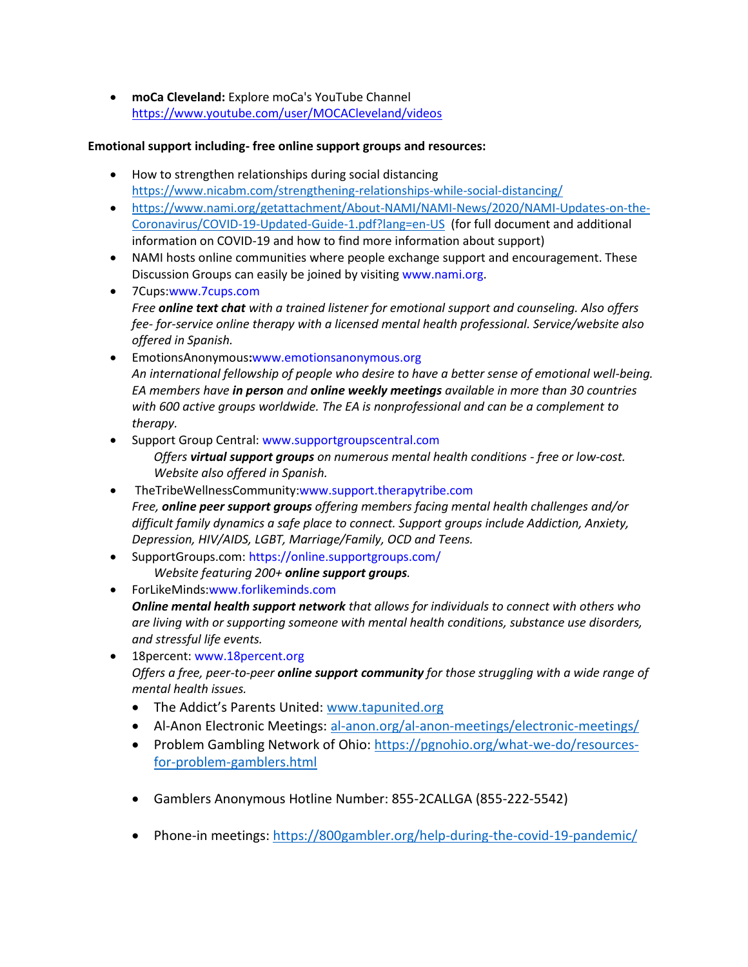• **moCa Cleveland:** Explore moCa's YouTube Channel <https://www.youtube.com/user/MOCACleveland/videos>

### **Emotional support including- free online support groups and resources:**

- How to strengthen relationships during social distancing <https://www.nicabm.com/strengthening-relationships-while-social-distancing/>
- [https://www.nami.org/getattachment/About-NAMI/NAMI-News/2020/NAMI-Updates-on-the-](https://www.nami.org/getattachment/About-NAMI/NAMI-News/2020/NAMI-Updates-on-the-Coronavirus/COVID-19-Updated-Guide-1.pdf?lang=en-US)[Coronavirus/COVID-19-Updated-Guide-1.pdf?lang=en-US](https://www.nami.org/getattachment/About-NAMI/NAMI-News/2020/NAMI-Updates-on-the-Coronavirus/COVID-19-Updated-Guide-1.pdf?lang=en-US) (for full document and additional information on COVID-19 and how to find more information about support)
- NAMI hosts online communities where people exchange support and encouragement. These Discussion Groups can easily be joined by visiting www.nami.org.
- 7Cups:www.7cups.com *Free online text chat with a trained listener for emotional support and counseling. Also offers fee- for-service online therapy with a licensed mental health professional. Service/website also offered in Spanish.*
- EmotionsAnonymous**:**www.emotionsanonymous.org *An international fellowship of people who desire to have a better sense of emotional well-being. EA members have in person and online weekly meetings available in more than 30 countries with 600 active groups worldwide. The EA is nonprofessional and can be a complement to therapy.*
- Support Group Central: www.supportgroupscentral.com *Offers virtual support groups on numerous mental health conditions - free or low-cost. Website also offered in Spanish.*
- TheTribeWellnessCommunity:www.support.therapytribe.com *Free, online peer support groups offering members facing mental health challenges and/or difficult family dynamics a safe place to connect. Support groups include Addiction, Anxiety, Depression, HIV/AIDS, LGBT, Marriage/Family, OCD and Teens.*
- SupportGroups.com: https://online.supportgroups.com/ *Website featuring 200+ online support groups.*
- ForLikeMinds:www.forlikeminds.com *Online mental health support network that allows for individuals to connect with others who are living with or supporting someone with mental health conditions, substance use disorders, and stressful life events.*
- 18 percent: www.18 percent.org *Offers a free, peer-to-peer online support community for those struggling with a wide range of mental health issues.* 
	- The Addict's Parents United: [www.tapunited.org](http://www.tapunited.org/)
	- Al-Anon Electronic Meetings: [al-anon.org/al-anon-meetings/electronic-meetings/](https://al-anon.org/al-anon-meetings/electronic-meetings/)
	- Problem Gambling Network of Ohio: [https://pgnohio.org/what-we-do/resources](https://pgnohio.org/what-we-do/resources-for-problem-gamblers.html)[for-problem-gamblers.html](https://pgnohio.org/what-we-do/resources-for-problem-gamblers.html)
	- Gamblers Anonymous Hotline Number: 855-2CALLGA (855-222-5542)
	- Phone-in meetings: <https://800gambler.org/help-during-the-covid-19-pandemic/>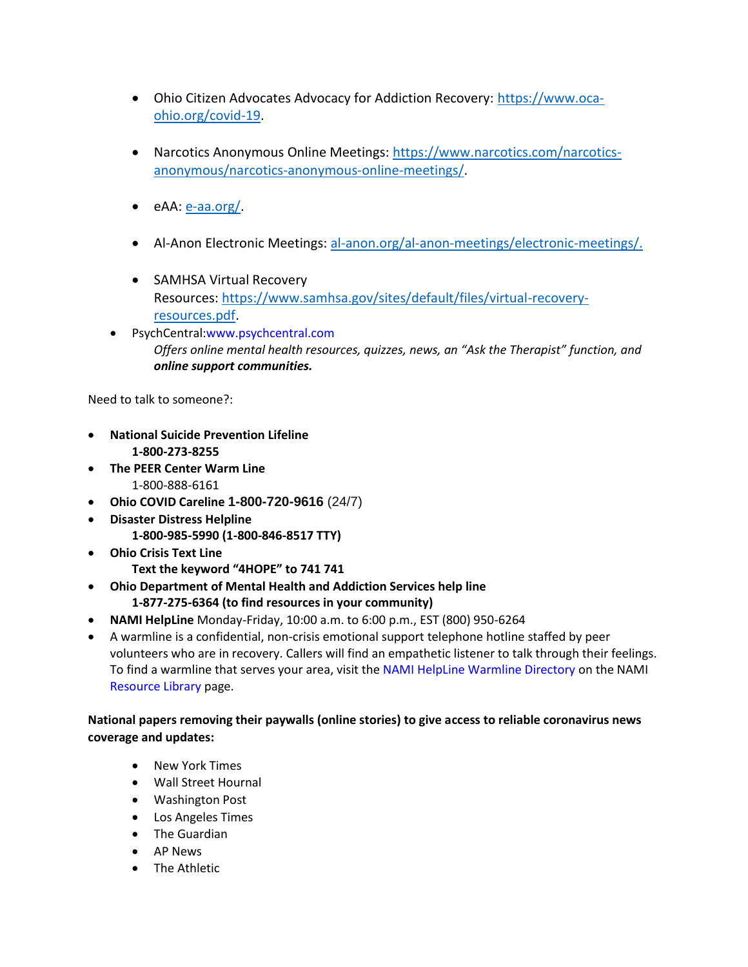- Ohio Citizen Advocates Advocacy for Addiction Recovery: [https://www.oca](https://www.oca-ohio.org/covid-19)[ohio.org/covid-19.](https://www.oca-ohio.org/covid-19)
- Narcotics Anonymous Online Meetings: [https://www.narcotics.com/narcotics](https://www.narcotics.com/narcotics-anonymous/narcotics-anonymous-online-meetings/)[anonymous/narcotics-anonymous-online-meetings/.](https://www.narcotics.com/narcotics-anonymous/narcotics-anonymous-online-meetings/)
- $\bullet$  eAA:  $e$ -aa.org/.
- Al-Anon Electronic Meetings: [al-anon.org/al-anon-meetings/electronic-meetings/.](https://al-anon.org/al-anon-meetings/electronic-meetings/)
- SAMHSA Virtual Recovery Resources: [https://www.samhsa.gov/sites/default/files/virtual-recovery](https://www.samhsa.gov/sites/default/files/virtual-recovery-resources.pdf)[resources.pdf.](https://www.samhsa.gov/sites/default/files/virtual-recovery-resources.pdf)
- PsychCentral:www.psychcentral.com *Offers online mental health resources, quizzes, news, an "Ask the Therapist" function, and online support communities.*

Need to talk to someone?:

- **National Suicide Prevention Lifeline 1-800-273-8255**
- **The PEER Center Warm Line** 1-800-888-6161
- **Ohio COVID Careline 1-800-720-9616** (24/7)
- **Disaster Distress Helpline 1-800-985-5990 (1-800-846-8517 TTY)**
- **Ohio Crisis Text Line Text the keyword "4HOPE" to 741 741**
- **Ohio Department of Mental Health and Addiction Services help line 1-877-275-6364 (to find resources in your community)**
- **NAMI HelpLine** Monday-Friday, 10:00 a.m. to 6:00 p.m., EST (800) 950-6264
- A warmline is a confidential, non-crisis emotional support telephone hotline staffed by peer volunteers who are in recovery. Callers will find an empathetic listener to talk through their feelings. To find a warmline that serves your area, visit the NAMI HelpLine Warmline Directory on the NAMI Resource Library page.

# **National papers removing their paywalls (online stories) to give access to reliable coronavirus news coverage and updates:**

- New York Times
- Wall Street Hournal
- Washington Post
- Los Angeles Times
- The Guardian
- AP News
- The Athletic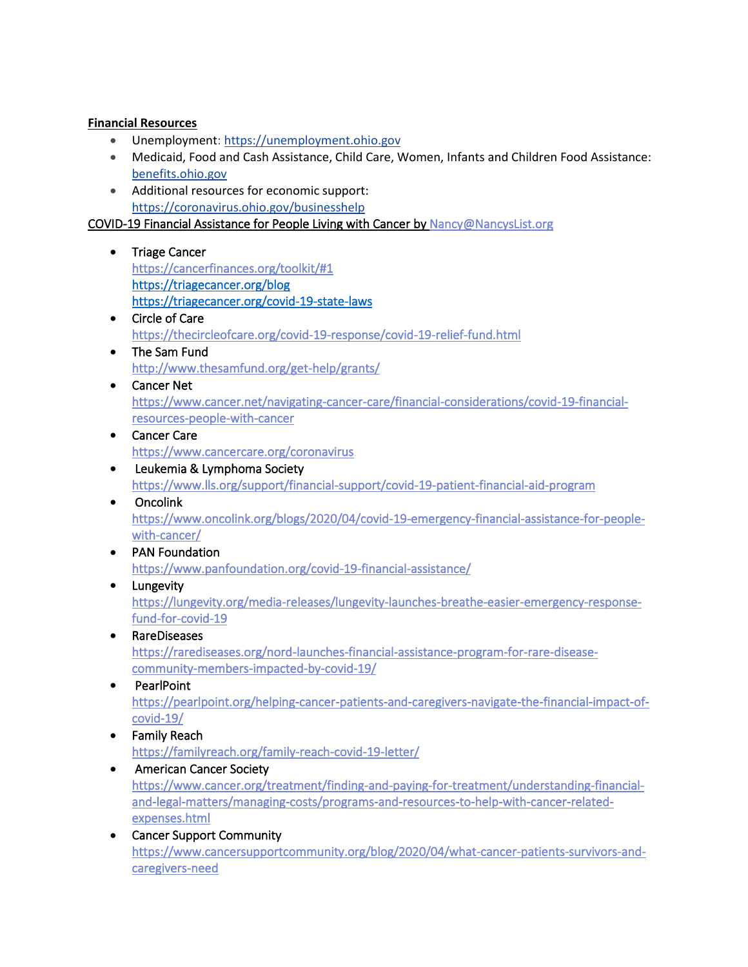### **Financial Resources**

- Unemployment: [https://unemployment.ohio.gov](https://unemployment.ohio.gov/)
- Medicaid, Food and Cash Assistance, Child Care, Women, Infants and Children Food Assistance: [benefits.ohio.gov](file:///C:/Users/10185690/AppData/Local/Microsoft/Windows/INetCache/Content.Outlook/UNG0FELH/benefits.ohio.gov)
- Additional resources for economic support: <https://coronavirus.ohio.gov/businesshelp>

COVID-19 Financial Assistance for People Living with Cancer b[y Nancy@NancysList.org](mailto:Nancy@NancysList.org) 

- Triage Cancer [https://cancerfinances.org/toolkit/#1](http://r20.rs6.net/tn.jsp?f=001vVn_XPsNmIKxVgVu0nfQ1UOJ3Wxqg9bbVGaR7yAUNVtxgG879vDVMQgtUkeEL_8lGyO8AgVzr17p5lRksdDp5GcdzwtDWKvRW1QiK7yx0LeO8gbdPuB3OTaa7TSLcKbsJrj2coExjqTct8a8ZJgHReC-9VjdzkMiutzssGXpjjXLmB50j8DA6DD6N7lF8xa_&c=tJg2dDZZqeUwwMWazsgNX8hTzGXCyzWEri0-ZydJIrWs-2HGPCwkHw==&ch=O5sA-gH5oNhclPIdIe-_6JRQdNZOhtd0--wQ08ZmRMfNDFawcFJScg==)  <https://triagecancer.org/blog> <https://triagecancer.org/covid-19-state-laws>
- Circle of Care [https://thecircleofcare.org/covid-19-response/covid-19-relief-fund.html](http://r20.rs6.net/tn.jsp?f=001vVn_XPsNmIKxVgVu0nfQ1UOJ3Wxqg9bbVGaR7yAUNVtxgG879vDVMQgtUkeEL_8lj6-_r4vog1vZeL2fFcCEEd-or-EOEzmSen6P1vKLdyH5jMe_mVp-7Kr_JsGb2VE2FD9YdfRzGQguYWRewspAz5Ny2t0HxAq2qWBVOa9D8QSylMlrcp2W-iezXMS2uFm5p9kCKwMbjU3lpYhlaFfDdrKYRxYkCfQbBVsYu-jUYpI=&c=tJg2dDZZqeUwwMWazsgNX8hTzGXCyzWEri0-ZydJIrWs-2HGPCwkHw==&ch=O5sA-gH5oNhclPIdIe-_6JRQdNZOhtd0--wQ08ZmRMfNDFawcFJScg==)
- The Sam Fund [http://www.thesamfund.org/get-help/grants/](http://r20.rs6.net/tn.jsp?f=001vVn_XPsNmIKxVgVu0nfQ1UOJ3Wxqg9bbVGaR7yAUNVtxgG879vDVMQJuejf2XPMY0nGWO645J6X1o11x8OJImXVa-nVaHQBCvYXybxxZN4B1FgS0uCDj-_1rjj1wvA9vFgMe3MmpxFvlnttx8nWsc86aeGtw-9JHb2W0TlVyfGCnCUKnWrhM7A0bQJyjKfDqnJAmORGL0lw=&c=tJg2dDZZqeUwwMWazsgNX8hTzGXCyzWEri0-ZydJIrWs-2HGPCwkHw==&ch=O5sA-gH5oNhclPIdIe-_6JRQdNZOhtd0--wQ08ZmRMfNDFawcFJScg==)
- Cancer Net [https://www.cancer.net/navigating-cancer-care/financial-considerations/covid-19-financial](http://r20.rs6.net/tn.jsp?f=001vVn_XPsNmIKxVgVu0nfQ1UOJ3Wxqg9bbVGaR7yAUNVtxgG879vDVMQgtUkeEL_8l9Ze1rHU_GwKUlaxe0VonOAoOViHzRWZewx41eNNGxBW499co7J9Q_ZHUK394NPQiyQvAxxxuFPLPBqpfMBPAMsCY_p7NvCIfpe17qqauViGgzYvwKMLIIxAFVS2L6_22Iy_oXyCfnYvbq-ANmV4CnXMB2A0SoVlR21__Yhj3URuJFaZSBIY_PGDA_dxQvdMxC1Rg9_kbHp4yBYo7vLA9mJXkYkyMZvHkGywIAuh4FJ2Ffo4nN946_w==&c=tJg2dDZZqeUwwMWazsgNX8hTzGXCyzWEri0-ZydJIrWs-2HGPCwkHw==&ch=O5sA-gH5oNhclPIdIe-_6JRQdNZOhtd0--wQ08ZmRMfNDFawcFJScg==)[resources-people-with-cancer](http://r20.rs6.net/tn.jsp?f=001vVn_XPsNmIKxVgVu0nfQ1UOJ3Wxqg9bbVGaR7yAUNVtxgG879vDVMQgtUkeEL_8l9Ze1rHU_GwKUlaxe0VonOAoOViHzRWZewx41eNNGxBW499co7J9Q_ZHUK394NPQiyQvAxxxuFPLPBqpfMBPAMsCY_p7NvCIfpe17qqauViGgzYvwKMLIIxAFVS2L6_22Iy_oXyCfnYvbq-ANmV4CnXMB2A0SoVlR21__Yhj3URuJFaZSBIY_PGDA_dxQvdMxC1Rg9_kbHp4yBYo7vLA9mJXkYkyMZvHkGywIAuh4FJ2Ffo4nN946_w==&c=tJg2dDZZqeUwwMWazsgNX8hTzGXCyzWEri0-ZydJIrWs-2HGPCwkHw==&ch=O5sA-gH5oNhclPIdIe-_6JRQdNZOhtd0--wQ08ZmRMfNDFawcFJScg==)
- Cancer Care [https://www.cancercare.org/coronavirus](http://r20.rs6.net/tn.jsp?f=001vVn_XPsNmIKxVgVu0nfQ1UOJ3Wxqg9bbVGaR7yAUNVtxgG879vDVMQgtUkeEL_8lsV5R7FslHZfFPK-sBTur2r2f36-9kwI4CyWm7LPnlrXy-p7_nKDf5yiSZvr4oN-ZjHbHdX-zGXYYJ-sQsbIgnjVXta1SCTegsxqNumgpeaBX-Sf5qvbVi7gIrQLa8eZ1&c=tJg2dDZZqeUwwMWazsgNX8hTzGXCyzWEri0-ZydJIrWs-2HGPCwkHw==&ch=O5sA-gH5oNhclPIdIe-_6JRQdNZOhtd0--wQ08ZmRMfNDFawcFJScg==)
- Leukemia & Lymphoma Society [https://www.lls.org/support/financial-support/covid-19-patient-financial-aid-program](http://r20.rs6.net/tn.jsp?f=001vVn_XPsNmIKxVgVu0nfQ1UOJ3Wxqg9bbVGaR7yAUNVtxgG879vDVMQgtUkeEL_8lmYY0kOFeN9GXlQZZf19eVOh_PblZ1eEO8cNEQBEzq1nZCL02LyTvd35mmTSndIp66b2TgZhoH23MnTpLtDro70jJkEfy6_9KNpOvSudwtN4gOcgOxFpaXuinStXPWepxb1ymxXt-XgIfzveLaY9ZJEiXysJrdDWR_DWbdF6c-VBfVuQmQCY0HatvBvVseBDt&c=tJg2dDZZqeUwwMWazsgNX8hTzGXCyzWEri0-ZydJIrWs-2HGPCwkHw==&ch=O5sA-gH5oNhclPIdIe-_6JRQdNZOhtd0--wQ08ZmRMfNDFawcFJScg==)
- Oncolink [https://www.oncolink.org/blogs/2020/04/covid-19-emergency-financial-assistance-for-people](http://r20.rs6.net/tn.jsp?f=001vVn_XPsNmIKxVgVu0nfQ1UOJ3Wxqg9bbVGaR7yAUNVtxgG879vDVMQgtUkeEL_8lj6RhkrbsMSRd0NWYgCinQSK657gCzMlEm-U6vInPGBp4FhA2npOKRjIno0ihPcKrCUV_pgNuK7qHJTVemMSlIg6yDSOfMO905kA4YUDy4C_nNwdN52uchZhvcNnQSWDxGKh2gj3uvd3Y3vurY0-iIduCHfjZK129fVEgNxKtoiDnbFVL52f950-Ve76GoLWDoVpRO4OJyix5caPT0NroSiZuY69y9T9c&c=tJg2dDZZqeUwwMWazsgNX8hTzGXCyzWEri0-ZydJIrWs-2HGPCwkHw==&ch=O5sA-gH5oNhclPIdIe-_6JRQdNZOhtd0--wQ08ZmRMfNDFawcFJScg==)[with-cancer/](http://r20.rs6.net/tn.jsp?f=001vVn_XPsNmIKxVgVu0nfQ1UOJ3Wxqg9bbVGaR7yAUNVtxgG879vDVMQgtUkeEL_8lj6RhkrbsMSRd0NWYgCinQSK657gCzMlEm-U6vInPGBp4FhA2npOKRjIno0ihPcKrCUV_pgNuK7qHJTVemMSlIg6yDSOfMO905kA4YUDy4C_nNwdN52uchZhvcNnQSWDxGKh2gj3uvd3Y3vurY0-iIduCHfjZK129fVEgNxKtoiDnbFVL52f950-Ve76GoLWDoVpRO4OJyix5caPT0NroSiZuY69y9T9c&c=tJg2dDZZqeUwwMWazsgNX8hTzGXCyzWEri0-ZydJIrWs-2HGPCwkHw==&ch=O5sA-gH5oNhclPIdIe-_6JRQdNZOhtd0--wQ08ZmRMfNDFawcFJScg==)
- PAN Foundation [https://www.panfoundation.org/covid-19-financial-assistance/](http://r20.rs6.net/tn.jsp?f=001vVn_XPsNmIKxVgVu0nfQ1UOJ3Wxqg9bbVGaR7yAUNVtxgG879vDVMQgtUkeEL_8lKl5r_IToCL0NWV0xQ-O6u1QLpnkY66Y8_SeVR2ac7LW-7voa4SH7voRePJbkaEMc4VCJBV27tv-pEC2D4-Ee_G69KpYQ043jcqkqszpnwIKOloxL9NQtzrI3x3BmiNu8cwOjCqay42ugn8rzumjVQ3lD_Iqs6cR7&c=tJg2dDZZqeUwwMWazsgNX8hTzGXCyzWEri0-ZydJIrWs-2HGPCwkHw==&ch=O5sA-gH5oNhclPIdIe-_6JRQdNZOhtd0--wQ08ZmRMfNDFawcFJScg==)
- Lungevity [https://lungevity.org/media-releases/lungevity-launches-breathe-easier-emergency-response](http://r20.rs6.net/tn.jsp?f=001vVn_XPsNmIKxVgVu0nfQ1UOJ3Wxqg9bbVGaR7yAUNVtxgG879vDVMaLHb2MJe0laWI4y4YH-_3B9emIt67ve_0clZmhR2kn2BDuAfh4F9p2eVMokO8A5Haqtwuf7fNJBI05y69ALGpv-sjpsn_ezrzNqUPV8zX6TOn-AKFNneHA1jjAEn10fVstUJgLTDhL6eYXTLek9mDtGngMcNl9k9bAdPl8uRtcuNtNlD9-faRM7OngFHFY8OwIP_U4_vrTA9b6mDH20atkPP2qQ7U7E_K2El9XznmnU&c=tJg2dDZZqeUwwMWazsgNX8hTzGXCyzWEri0-ZydJIrWs-2HGPCwkHw==&ch=O5sA-gH5oNhclPIdIe-_6JRQdNZOhtd0--wQ08ZmRMfNDFawcFJScg==)[fund-for-covid-19](http://r20.rs6.net/tn.jsp?f=001vVn_XPsNmIKxVgVu0nfQ1UOJ3Wxqg9bbVGaR7yAUNVtxgG879vDVMaLHb2MJe0laWI4y4YH-_3B9emIt67ve_0clZmhR2kn2BDuAfh4F9p2eVMokO8A5Haqtwuf7fNJBI05y69ALGpv-sjpsn_ezrzNqUPV8zX6TOn-AKFNneHA1jjAEn10fVstUJgLTDhL6eYXTLek9mDtGngMcNl9k9bAdPl8uRtcuNtNlD9-faRM7OngFHFY8OwIP_U4_vrTA9b6mDH20atkPP2qQ7U7E_K2El9XznmnU&c=tJg2dDZZqeUwwMWazsgNX8hTzGXCyzWEri0-ZydJIrWs-2HGPCwkHw==&ch=O5sA-gH5oNhclPIdIe-_6JRQdNZOhtd0--wQ08ZmRMfNDFawcFJScg==)
- RareDiseases [https://rarediseases.org/nord-launches-financial-assistance-program-for-rare-disease](http://r20.rs6.net/tn.jsp?f=001vVn_XPsNmIKxVgVu0nfQ1UOJ3Wxqg9bbVGaR7yAUNVtxgG879vDVMQgtUkeEL_8lrPpwhcix1ihErZGqk3KhMPc1VhM58s7oJoDAFwHQQ2ZZhrWMuWC1l48AEvC--hLDmySwdqndyEOznBSyZLfhkQ8CpM7pYC-EqNwii3Uko6CDJisPJPNYJqZ-UjfzijcD9mn8kETwU01B7qu1d4XAyIb-y9_ku7CNpGlxGVwk7pxcL7ITXavPC1xQOcCBr1BV81gRYci5gp8IvWfHDmCityYfmdZcw4j_4Dy8hujjO2JUnPtWfrOkDA==&c=tJg2dDZZqeUwwMWazsgNX8hTzGXCyzWEri0-ZydJIrWs-2HGPCwkHw==&ch=O5sA-gH5oNhclPIdIe-_6JRQdNZOhtd0--wQ08ZmRMfNDFawcFJScg==)[community-members-impacted-by-covid-19/](http://r20.rs6.net/tn.jsp?f=001vVn_XPsNmIKxVgVu0nfQ1UOJ3Wxqg9bbVGaR7yAUNVtxgG879vDVMQgtUkeEL_8lrPpwhcix1ihErZGqk3KhMPc1VhM58s7oJoDAFwHQQ2ZZhrWMuWC1l48AEvC--hLDmySwdqndyEOznBSyZLfhkQ8CpM7pYC-EqNwii3Uko6CDJisPJPNYJqZ-UjfzijcD9mn8kETwU01B7qu1d4XAyIb-y9_ku7CNpGlxGVwk7pxcL7ITXavPC1xQOcCBr1BV81gRYci5gp8IvWfHDmCityYfmdZcw4j_4Dy8hujjO2JUnPtWfrOkDA==&c=tJg2dDZZqeUwwMWazsgNX8hTzGXCyzWEri0-ZydJIrWs-2HGPCwkHw==&ch=O5sA-gH5oNhclPIdIe-_6JRQdNZOhtd0--wQ08ZmRMfNDFawcFJScg==)
- PearlPoint [https://pearlpoint.org/helping-cancer-patients-and-caregivers-navigate-the-financial-impact-of](http://r20.rs6.net/tn.jsp?f=001vVn_XPsNmIKxVgVu0nfQ1UOJ3Wxqg9bbVGaR7yAUNVtxgG879vDVMQgtUkeEL_8lyQOFrGBIPUkTs6XyH0P8eqedOS6O8sLBD0vXZCa1lG0LkX5VvPbLEsX2nzjJShgQXa2eSX1fDGW7tRa-CN9_bvVZgeGyrnc2PBhVuP93OhJgvpvR7EVlMNDZzUUxPUs5Ruf_PjY9T0MNVVU9w--O9vFOluwaq-tD3d3uc313SokIgMz8lphGuV0xLAfwEhLHlzBSgnLI9c90MoDOQReQO1UnJdPkcHil&c=tJg2dDZZqeUwwMWazsgNX8hTzGXCyzWEri0-ZydJIrWs-2HGPCwkHw==&ch=O5sA-gH5oNhclPIdIe-_6JRQdNZOhtd0--wQ08ZmRMfNDFawcFJScg==)[covid-19/](http://r20.rs6.net/tn.jsp?f=001vVn_XPsNmIKxVgVu0nfQ1UOJ3Wxqg9bbVGaR7yAUNVtxgG879vDVMQgtUkeEL_8lyQOFrGBIPUkTs6XyH0P8eqedOS6O8sLBD0vXZCa1lG0LkX5VvPbLEsX2nzjJShgQXa2eSX1fDGW7tRa-CN9_bvVZgeGyrnc2PBhVuP93OhJgvpvR7EVlMNDZzUUxPUs5Ruf_PjY9T0MNVVU9w--O9vFOluwaq-tD3d3uc313SokIgMz8lphGuV0xLAfwEhLHlzBSgnLI9c90MoDOQReQO1UnJdPkcHil&c=tJg2dDZZqeUwwMWazsgNX8hTzGXCyzWEri0-ZydJIrWs-2HGPCwkHw==&ch=O5sA-gH5oNhclPIdIe-_6JRQdNZOhtd0--wQ08ZmRMfNDFawcFJScg==)
- Family Reach [https://familyreach.org/family-reach-covid-19-letter/](http://r20.rs6.net/tn.jsp?f=001vVn_XPsNmIKxVgVu0nfQ1UOJ3Wxqg9bbVGaR7yAUNVtxgG879vDVMQJuejf2XPMYtsMSXlW3QCKebENYGrii4xoC7oqsIL9ePN2PlC0HoI5__BZHc2CXZoEPR0YBEQuOJzQEIwrmd0UdodvIVuoVzW1ZQzqQH5N6SUIX0YR0ab_Z-tvT4g8BzYdbu31h4_yFmmSUpD6xw06XBg5N36bvVQ==&c=tJg2dDZZqeUwwMWazsgNX8hTzGXCyzWEri0-ZydJIrWs-2HGPCwkHw==&ch=O5sA-gH5oNhclPIdIe-_6JRQdNZOhtd0--wQ08ZmRMfNDFawcFJScg==)
- American Cancer Society [https://www.cancer.org/treatment/finding-and-paying-for-treatment/understanding-financial](http://r20.rs6.net/tn.jsp?f=001vVn_XPsNmIKxVgVu0nfQ1UOJ3Wxqg9bbVGaR7yAUNVtxgG879vDVMQgtUkeEL_8ly26aeiWfrcVKpoheZ0lxqndmE_ZdP8wzG47r6YvGzDl8aq44muf8XlJnqwyJJE2aVCJDBQhaXnNKKP0TMpOJtitwr8gaX15-XB7OS9Launu1L275qo2Ntlmbte1WLgZUauXd9E_TQcVmSRPXm_p6LhPD28l3390G9dBH1kuNhWvS3FKMU2RD4UOrzmfWydrgxBXNFXKFeMMxF-LQCzIFN8QYD23cPybQX17z1PjNSNlUX6EQnB8qV-06SGtu48Qx1EqFxFeZQoo1vmjDwLaaN9xzfwc_VIIufwkZC_n5S0ef56GcJkGqE8ZxkBPZHKNkrz5zSAVPOXhxwZW9t9WIHQ==&c=tJg2dDZZqeUwwMWazsgNX8hTzGXCyzWEri0-ZydJIrWs-2HGPCwkHw==&ch=O5sA-gH5oNhclPIdIe-_6JRQdNZOhtd0--wQ08ZmRMfNDFawcFJScg==)[and-legal-matters/managing-costs/programs-and-resources-to-help-with-cancer-related](http://r20.rs6.net/tn.jsp?f=001vVn_XPsNmIKxVgVu0nfQ1UOJ3Wxqg9bbVGaR7yAUNVtxgG879vDVMQgtUkeEL_8ly26aeiWfrcVKpoheZ0lxqndmE_ZdP8wzG47r6YvGzDl8aq44muf8XlJnqwyJJE2aVCJDBQhaXnNKKP0TMpOJtitwr8gaX15-XB7OS9Launu1L275qo2Ntlmbte1WLgZUauXd9E_TQcVmSRPXm_p6LhPD28l3390G9dBH1kuNhWvS3FKMU2RD4UOrzmfWydrgxBXNFXKFeMMxF-LQCzIFN8QYD23cPybQX17z1PjNSNlUX6EQnB8qV-06SGtu48Qx1EqFxFeZQoo1vmjDwLaaN9xzfwc_VIIufwkZC_n5S0ef56GcJkGqE8ZxkBPZHKNkrz5zSAVPOXhxwZW9t9WIHQ==&c=tJg2dDZZqeUwwMWazsgNX8hTzGXCyzWEri0-ZydJIrWs-2HGPCwkHw==&ch=O5sA-gH5oNhclPIdIe-_6JRQdNZOhtd0--wQ08ZmRMfNDFawcFJScg==)[expenses.html](http://r20.rs6.net/tn.jsp?f=001vVn_XPsNmIKxVgVu0nfQ1UOJ3Wxqg9bbVGaR7yAUNVtxgG879vDVMQgtUkeEL_8ly26aeiWfrcVKpoheZ0lxqndmE_ZdP8wzG47r6YvGzDl8aq44muf8XlJnqwyJJE2aVCJDBQhaXnNKKP0TMpOJtitwr8gaX15-XB7OS9Launu1L275qo2Ntlmbte1WLgZUauXd9E_TQcVmSRPXm_p6LhPD28l3390G9dBH1kuNhWvS3FKMU2RD4UOrzmfWydrgxBXNFXKFeMMxF-LQCzIFN8QYD23cPybQX17z1PjNSNlUX6EQnB8qV-06SGtu48Qx1EqFxFeZQoo1vmjDwLaaN9xzfwc_VIIufwkZC_n5S0ef56GcJkGqE8ZxkBPZHKNkrz5zSAVPOXhxwZW9t9WIHQ==&c=tJg2dDZZqeUwwMWazsgNX8hTzGXCyzWEri0-ZydJIrWs-2HGPCwkHw==&ch=O5sA-gH5oNhclPIdIe-_6JRQdNZOhtd0--wQ08ZmRMfNDFawcFJScg==)
- Cancer Support Community [https://www.cancersupportcommunity.org/blog/2020/04/what-cancer-patients-survivors-and](http://r20.rs6.net/tn.jsp?f=001vVn_XPsNmIKxVgVu0nfQ1UOJ3Wxqg9bbVGaR7yAUNVtxgG879vDVMQgtUkeEL_8lM44j38_b8CtWvhdEUZmfCIYTQI5o-le4I8Xtag-45PUPA5qJq5Z4Kht6vt4uxcFeWi32RTVTJFB8cMiFP6DVBBlD88jfK9WibJY3tF-QDYS-0qro0rKtNdIM4bhCFFFdeJZvw7V_dcJrZaPrOz-QM3KxQHafp78KCDgglFTUloi9595URh2rYlni4UgtPhsTAr2ntHOSWRJ2jTN8wUtJpcPQ5lmcFLQX&c=tJg2dDZZqeUwwMWazsgNX8hTzGXCyzWEri0-ZydJIrWs-2HGPCwkHw==&ch=O5sA-gH5oNhclPIdIe-_6JRQdNZOhtd0--wQ08ZmRMfNDFawcFJScg==)[caregivers-need](http://r20.rs6.net/tn.jsp?f=001vVn_XPsNmIKxVgVu0nfQ1UOJ3Wxqg9bbVGaR7yAUNVtxgG879vDVMQgtUkeEL_8lM44j38_b8CtWvhdEUZmfCIYTQI5o-le4I8Xtag-45PUPA5qJq5Z4Kht6vt4uxcFeWi32RTVTJFB8cMiFP6DVBBlD88jfK9WibJY3tF-QDYS-0qro0rKtNdIM4bhCFFFdeJZvw7V_dcJrZaPrOz-QM3KxQHafp78KCDgglFTUloi9595URh2rYlni4UgtPhsTAr2ntHOSWRJ2jTN8wUtJpcPQ5lmcFLQX&c=tJg2dDZZqeUwwMWazsgNX8hTzGXCyzWEri0-ZydJIrWs-2HGPCwkHw==&ch=O5sA-gH5oNhclPIdIe-_6JRQdNZOhtd0--wQ08ZmRMfNDFawcFJScg==)